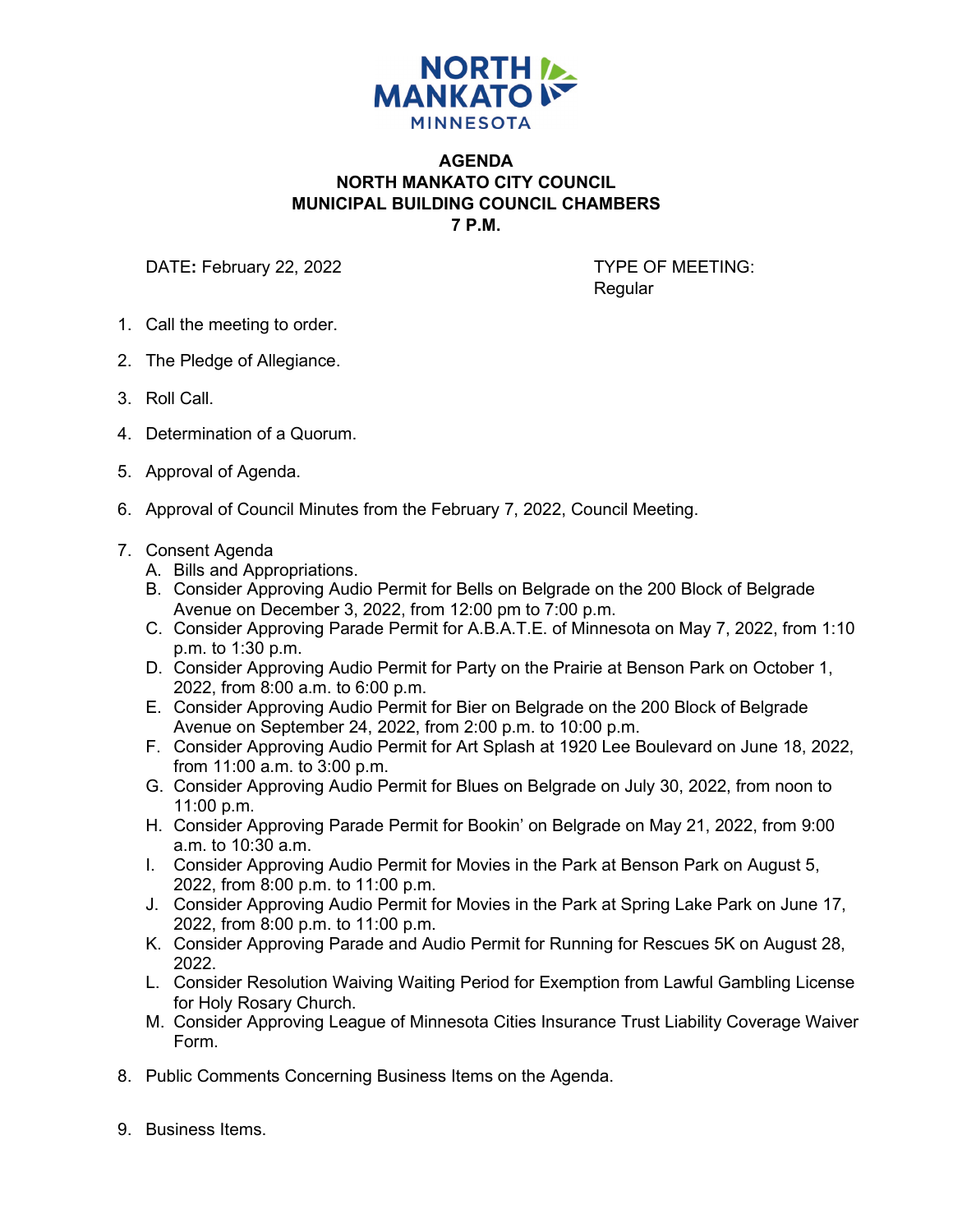

## **AGENDA NORTH MANKATO CITY COUNCIL MUNICIPAL BUILDING COUNCIL CHAMBERS 7 P.M.**

DATE: February 22, 2022 **TYPE OF MEETING:** 

**Regular** 

- 1. Call the meeting to order.
- 2. The Pledge of Allegiance.
- 3. Roll Call.
- 4. Determination of a Quorum.
- 5. Approval of Agenda.
- 6. Approval of Council Minutes from the February 7, 2022, Council Meeting.
- 7. Consent Agenda
	- A. Bills and Appropriations.
	- B. Consider Approving Audio Permit for Bells on Belgrade on the 200 Block of Belgrade Avenue on December 3, 2022, from 12:00 pm to 7:00 p.m.
	- C. Consider Approving Parade Permit for A.B.A.T.E. of Minnesota on May 7, 2022, from 1:10 p.m. to 1:30 p.m.
	- D. Consider Approving Audio Permit for Party on the Prairie at Benson Park on October 1, 2022, from 8:00 a.m. to 6:00 p.m.
	- E. Consider Approving Audio Permit for Bier on Belgrade on the 200 Block of Belgrade Avenue on September 24, 2022, from 2:00 p.m. to 10:00 p.m.
	- F. Consider Approving Audio Permit for Art Splash at 1920 Lee Boulevard on June 18, 2022, from 11:00 a.m. to 3:00 p.m.
	- G. Consider Approving Audio Permit for Blues on Belgrade on July 30, 2022, from noon to 11:00 p.m.
	- H. Consider Approving Parade Permit for Bookin' on Belgrade on May 21, 2022, from 9:00 a.m. to 10:30 a.m.
	- I. Consider Approving Audio Permit for Movies in the Park at Benson Park on August 5, 2022, from 8:00 p.m. to 11:00 p.m.
	- J. Consider Approving Audio Permit for Movies in the Park at Spring Lake Park on June 17, 2022, from 8:00 p.m. to 11:00 p.m.
	- K. Consider Approving Parade and Audio Permit for Running for Rescues 5K on August 28, 2022.
	- L. Consider Resolution Waiving Waiting Period for Exemption from Lawful Gambling License for Holy Rosary Church.
	- M. Consider Approving League of Minnesota Cities Insurance Trust Liability Coverage Waiver Form.
- 8. Public Comments Concerning Business Items on the Agenda.
- 9. Business Items.